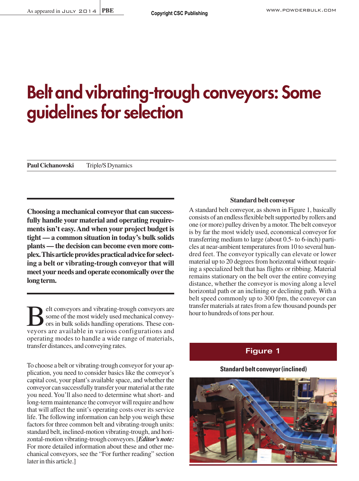# **Belt and vibrating-trough conveyors: Some guidelines for selection**

Paul Cichanowski Triple/S Dynamics

**Choosing a mechanical conveyor that can successfully handle your material and operating requirements isn't easy. And when your project budget is tight — a common situation in today's bulk solids plants — the decision can become even more complex. This article provides practical advice for selecting a belt or vibrating-trough conveyor that will meet your needs and operate economically over the long term.**

elt conveyors and vibrating-trough conveyors are some of the most widely used mechanical conveyors in bulk solids handling operations. These conveyors are available in various configurations and operating modes to handle a wide range of materials, transfer distances, and conveying rates.

To choose a belt or vibrating-trough conveyor for your application, you need to consider basics like the conveyor's capital cost, your plant's available space, and whether the conveyor can successfully transfer your material at the rate you need. You'll also need to determine what short- and long-term maintenance the conveyor will require and how that will affect the unit's operating costs over its service life. The following information can help you weigh these factors for three common belt and vibrating-trough units: standard belt, inclined-motion vibrating-trough, and horizontal-motion vibrating-trough conveyors. [*Editor's note:* For more detailed information about these and other mechanical conveyors, see the "For further reading" section later in this article.]

## **Standard belt conveyor**

A standard belt conveyor, as shown in Figure 1, basically consists of an endless flexible belt supported by rollers and one (or more) pulley driven by a motor. The belt conveyor is by far the most widely used, economical conveyor for transferring medium to large (about 0.5- to 6-inch) particles at near-ambient temperatures from 10 to several hundred feet. The conveyor typically can elevate or lower material up to 20 degrees from horizontal without requiring a specialized belt that has flights or ribbing. Material remains stationary on the belt over the entire conveying distance, whether the conveyor is moving along a level horizontal path or an inclining or declining path. With a belt speed commonly up to 300 fpm, the conveyor can transfer materials at rates from a few thousand pounds per hour to hundreds of tons per hour.

# **Figure 1**

## **Standard belt conveyor (inclined)**

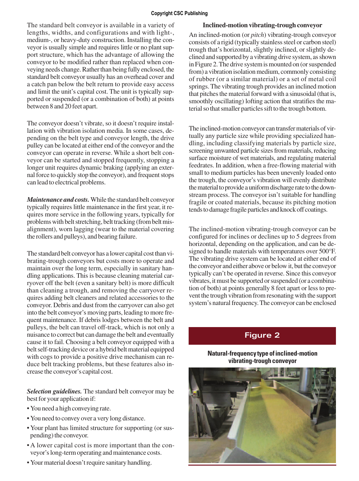#### **Copyright CSC Publishing**

The standard belt conveyor is available in a variety of lengths, widths, and configurations and with light-, medium-, or heavy-duty construction. Installing the conveyor is usually simple and requires little or no plant support structure, which has the advantage of allowing the conveyor to be modified rather than replaced when conveying needs change. Rather than being fully enclosed, the standard belt conveyor usually has an overhead cover and a catch pan below the belt return to provide easy access and limit the unit's capital cost. The unit is typically supported or suspended (or a combination of both) at points between 8 and 20 feet apart.

The conveyor doesn't vibrate, so it doesn't require installation with vibration isolation media. In some cases, depending on the belt type and conveyor length, the drive pulley can be located at either end of the conveyor and the conveyor can operate in reverse. While a short belt conveyor can be started and stopped frequently, stopping a longer unit requires dynamic braking (applying an external force to quickly stop the conveyor), and frequent stops can lead to electrical problems.

*Maintenance and costs.* While the standard belt conveyor typically requires little maintenance in the first year, it requires more service in the following years, typically for problems with belt stretching, belt tracking (from belt misalignment), worn lagging (wear to the material covering the rollers and pulleys), and bearing failure.

The standard belt conveyor has a lower capital cost than vibrating-trough conveyors but costs more to operate and maintain over the long term, especially in sanitary handling applications. This is because cleaning material carryover off the belt (even a sanitary belt) is more difficult than cleaning a trough, and removing the carryover requires adding belt cleaners and related accessories to the conveyor. Debris and dust from the carryover can also get into the belt conveyor's moving parts, leading to more frequent maintenance. If debris lodges between the belt and pulleys, the belt can travel off-track, which is not only a nuisance to correct but can damage the belt and eventually cause it to fail. Choosing a belt conveyor equipped with a belt self-tracking device or a hybrid belt material equipped with cogs to provide a positive drive mechanism can reduce belt tracking problems, but these features also increase the conveyor's capital cost.

*Selection guidelines.* The standard belt conveyor may be best for your application if:

- You need a high conveying rate.
- You need to convey over a very long distance.
- Your plant has limited structure for supporting (or suspending) the conveyor.
- A lower capital cost is more important than the conveyor's long-term operating and maintenance costs.
- Your material doesn't require sanitary handling.

# **Inclined-motion vibrating-trough conveyor**

An inclined-motion (or *pitch*) vibrating-trough conveyor consists of a rigid (typically stainless steel or carbon steel) trough that's horizontal, slightly inclined, or slightly declined and supported by a vibrating drive system, as shown in Figure 2. The drive system is mounted on (or suspended from) a vibration isolation medium, commonly consisting of rubber (or a similar material) or a set of metal coil springs. The vibrating trough provides an inclined motion that pitches the material forward with a sinusoidal (that is, smoothly oscillating) lofting action that stratifies the material so that smaller particles sift to the trough bottom.

The inclined-motion conveyor can transfer materials of virtually any particle size while providing specialized handling, including classifying materials by particle size, screening unwanted particle sizes from materials, reducing surface moisture of wet materials, and regulating material feedrates. In addition, when a free-flowing material with small to medium particles has been unevenly loaded onto the trough, the conveyor's vibration will evenly distribute the material to provide a uniform discharge rate to the downstream process. The conveyor isn't suitable for handling fragile or coated materials, because its pitching motion tends to damage fragile particles and knock off coatings.

The inclined-motion vibrating-trough conveyor can be configured for inclines or declines up to 5 degrees from horizontal, depending on the application, and can be designed to handle materials with temperatures over 500°F. The vibrating drive system can be located at either end of the conveyor and either above or below it, but the conveyor typically can't be operated in reverse. Since this conveyor vibrates, it must be supported or suspended (or a combination of both) at points generally 8 feet apart or less to prevent the trough vibration from resonating with the support system's natural frequency. The conveyor can be enclosed

# **Figure 2**

# **Natural-frequency type of inclined-motion vibrating-trough conveyor**

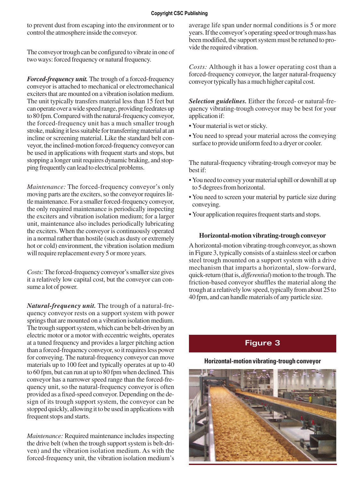to prevent dust from escaping into the environment or to control the atmosphere inside the conveyor.

The conveyor trough can be configured to vibrate in one of two ways: forced frequency or natural frequency.

*Forced-frequency unit.* The trough of a forced-frequency conveyor is attached to mechanical or electromechanical exciters that are mounted on a vibration isolation medium. The unit typically transfers material less than 15 feet but can operate over a wide speed range, providing feedrates up to 80 fpm. Compared with the natural-frequency conveyor, the forced-frequency unit has a much smaller trough stroke, making it less suitable for transferring material at an incline or screening material. Like the standard belt conveyor, the inclined-motion forced-frequency conveyor can be used in applications with frequent starts and stops, but stopping a longer unit requires dynamic braking, and stopping frequently can lead to electrical problems.

*Maintenance:* The forced-frequency conveyor's only moving parts are the exciters, so the conveyor requires little maintenance. For a smaller forced-frequency conveyor, the only required maintenance is periodically inspecting the exciters and vibration isolation medium; for a larger unit, maintenance also includes periodically lubricating the exciters. When the conveyor is continuously operated in a normal rather than hostile (such as dusty or extremely hot or cold) environment, the vibration isolation medium will require replacement every 5 or more years.

*Costs:* The forced-frequency conveyor's smaller size gives it a relatively low capital cost, but the conveyor can consume a lot of power.

*Natural-frequency unit.* The trough of a natural-frequency conveyor rests on a support system with power springs that are mounted on a vibration isolation medium. The trough support system, which can be belt-driven by an electric motor or a motor with eccentric weights, operates at a tuned frequency and provides a larger pitching action than a forced-frequency conveyor, so it requires less power for conveying. The natural-frequency conveyor can move materials up to 100 feet and typically operates at up to 40 to 60 fpm, but can run at up to 80 fpm when declined. This conveyor has a narrower speed range than the forced-frequency unit, so the natural-frequency conveyor is often provided as a fixed-speed conveyor. Depending on the design of its trough support system, the conveyor can be stopped quickly, allowing it to be used in applications with frequent stops and starts.

*Maintenance:* Required maintenance includes inspecting the drive belt (when the trough support system is belt-driven) and the vibration isolation medium. As with the forced-frequency unit, the vibration isolation medium's average life span under normal conditions is 5 or more years. If the conveyor's operating speed or trough mass has been modified, the support system must be retuned to provide the required vibration.

*Costs:* Although it has a lower operating cost than a forced-frequency conveyor, the larger natural-frequency conveyor typically has a much higher capital cost.

*Selection guidelines.* Either the forced- or natural-frequency vibrating-trough conveyor may be best for your application if:

- Your material is wet or sticky.
- You need to spread your material across the conveying surface to provide uniform feed to a dryer or cooler.

The natural-frequency vibrating-trough conveyor may be best if:

- You need to convey your material uphill or downhill at up to 5 degrees from horizontal.
- You need to screen your material by particle size during conveying.
- Your application requires frequent starts and stops.

## **Horizontal-motion vibrating-trough conveyor**

A horizontal-motion vibrating-trough conveyor, as shown in Figure 3, typically consists of a stainless steel or carbon steel trough mounted on a support system with a drive mechanism that imparts a horizontal, slow-forward, quick-return (that is, *differential*) motion to the trough. The friction-based conveyor shuffles the material along the trough at a relatively low speed, typically from about 25 to 40 fpm, and can handle materials of any particle size.

# **Figure 3**

## **Horizontal-motion vibrating-trough conveyor**